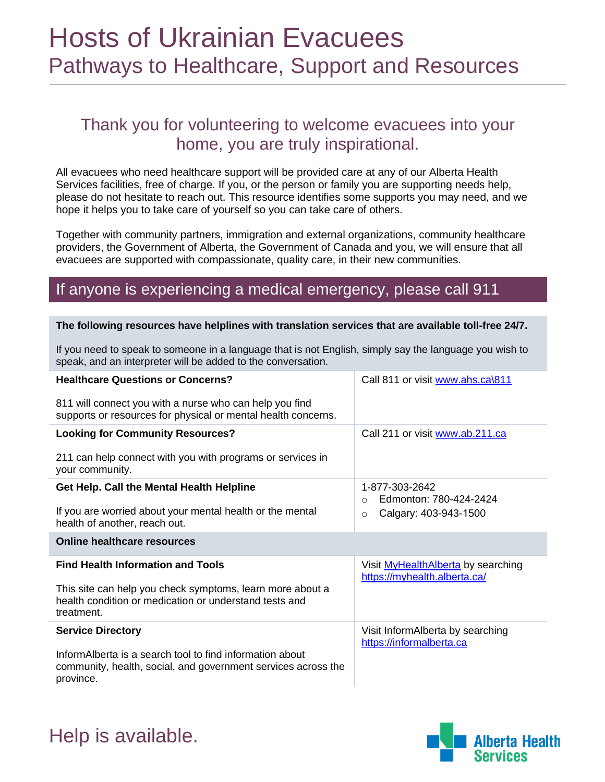### Hosts of Ukrainian Evacuees Pathways to Healthcare, Support and Resources

### Thank you for volunteering to welcome evacuees into your home, you are truly inspirational.

All evacuees who need healthcare support will be provided care at any of our Alberta Health Services facilities, free of charge. If you, or the person or family you are supporting needs help, please do not hesitate to reach out. This resource identifies some supports you may need, and we hope it helps you to take care of yourself so you can take care of others.

Together with community partners, immigration and external organizations, community healthcare providers, the Government of Alberta, the Government of Canada and you, we will ensure that all evacuees are supported with compassionate, quality care, in their new communities.

### If anyone is experiencing a medical emergency, please call 911

#### **The following resources have helplines with translation services that are available toll-free 24/7.**

If you need to speak to someone in a language that is not English, simply say the language you wish to speak, and an interpreter will be added to the conversation.

| <b>Healthcare Questions or Concerns?</b>                                                                                               | Call 811 or visit www.ahs.ca\811                                   |
|----------------------------------------------------------------------------------------------------------------------------------------|--------------------------------------------------------------------|
| 811 will connect you with a nurse who can help you find<br>supports or resources for physical or mental health concerns.               |                                                                    |
| <b>Looking for Community Resources?</b>                                                                                                | Call 211 or visit www.ab.211.ca                                    |
| 211 can help connect with you with programs or services in<br>your community.                                                          |                                                                    |
| Get Help. Call the Mental Health Helpline                                                                                              | 1-877-303-2642<br>Edmonton: 780-424-2424<br>$\Omega$               |
| If you are worried about your mental health or the mental<br>health of another, reach out.                                             | Calgary: 403-943-1500<br>$\circ$                                   |
| <b>Online healthcare resources</b>                                                                                                     |                                                                    |
| <b>Find Health Information and Tools</b>                                                                                               | Visit MyHealthAlberta by searching<br>https://myhealth.alberta.ca/ |
| This site can help you check symptoms, learn more about a<br>health condition or medication or understand tests and<br>treatment.      |                                                                    |
| <b>Service Directory</b>                                                                                                               | Visit InformAlberta by searching<br>https://informalberta.ca       |
| InformAlberta is a search tool to find information about<br>community, health, social, and government services across the<br>province. |                                                                    |



Help is available.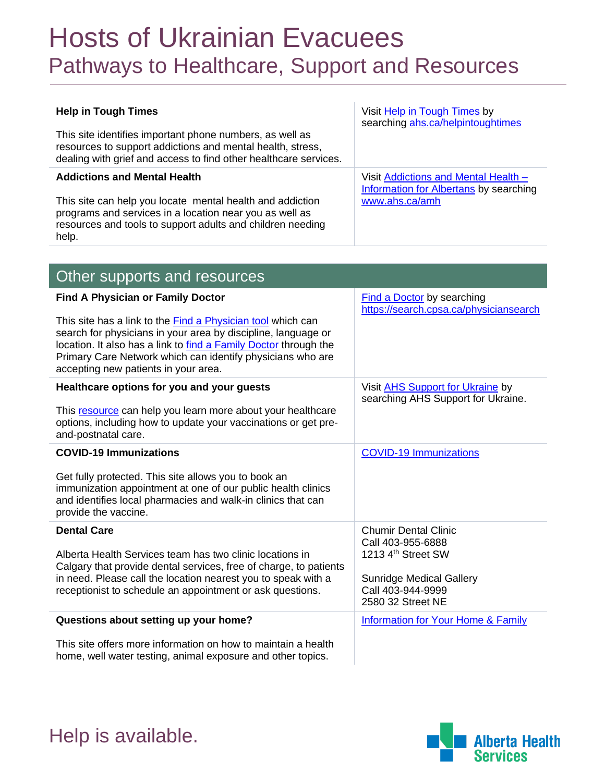## Hosts of Ukrainian Evacuees Pathways to Healthcare, Support and Resources

| <b>Help in Tough Times</b>                                                                                                                                                                                                                                                                             | Visit Help in Tough Times by<br>searching ahs.ca/helpintoughtimes                     |
|--------------------------------------------------------------------------------------------------------------------------------------------------------------------------------------------------------------------------------------------------------------------------------------------------------|---------------------------------------------------------------------------------------|
| This site identifies important phone numbers, as well as<br>resources to support addictions and mental health, stress,<br>dealing with grief and access to find other healthcare services.                                                                                                             |                                                                                       |
| <b>Addictions and Mental Health</b>                                                                                                                                                                                                                                                                    | Visit Addictions and Mental Health -<br><b>Information for Albertans by searching</b> |
| This site can help you locate mental health and addiction<br>programs and services in a location near you as well as<br>resources and tools to support adults and children needing<br>help.                                                                                                            | www.ahs.ca/amh                                                                        |
|                                                                                                                                                                                                                                                                                                        |                                                                                       |
| Other supports and resources                                                                                                                                                                                                                                                                           |                                                                                       |
| <b>Find A Physician or Family Doctor</b>                                                                                                                                                                                                                                                               | <b>Find a Doctor by searching</b><br>https://search.cpsa.ca/physiciansearch           |
| This site has a link to the Find a Physician tool which can<br>search for physicians in your area by discipline, language or<br>location. It also has a link to find a Family Doctor through the<br>Primary Care Network which can identify physicians who are<br>accepting new patients in your area. |                                                                                       |
| Healthcare options for you and your guests                                                                                                                                                                                                                                                             | Visit AHS Support for Ukraine by<br>searching AHS Support for Ukraine.                |
| This resource can help you learn more about your healthcare<br>options, including how to update your vaccinations or get pre-<br>and-postnatal care.                                                                                                                                                   |                                                                                       |
| <b>COVID-19 Immunizations</b>                                                                                                                                                                                                                                                                          | <b>COVID-19 Immunizations</b>                                                         |
| Get fully protected. This site allows you to book an<br>immunization appointment at one of our public health clinics<br>and identifies local pharmacies and walk-in clinics that can<br>provide the vaccine.                                                                                           |                                                                                       |
| <b>Dental Care</b>                                                                                                                                                                                                                                                                                     | <b>Chumir Dental Clinic</b><br>Call 403-955-6888                                      |
| Alberta Health Services team has two clinic locations in                                                                                                                                                                                                                                               | 1213 4th Street SW                                                                    |
| Calgary that provide dental services, free of charge, to patients<br>in need. Please call the location nearest you to speak with a<br>receptionist to schedule an appointment or ask questions.                                                                                                        | <b>Sunridge Medical Gallery</b><br>Call 403-944-9999<br>2580 32 Street NE             |
| Questions about setting up your home?                                                                                                                                                                                                                                                                  | <b>Information for Your Home &amp; Family</b>                                         |
| This site offers more information on how to maintain a health                                                                                                                                                                                                                                          |                                                                                       |

home, well water testing, animal exposure and other topics.



Help is available.